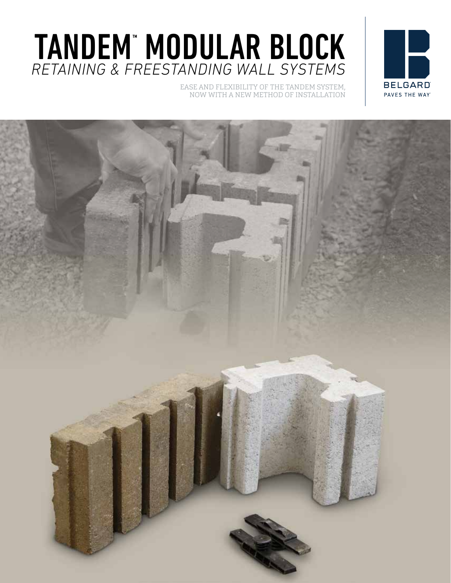# TANDEM" MODULAR BLOCK *RETAINING & FREESTANDING WALL SYSTEMS*

EASE AND FLEXIBILITY OF THE TANDEM SYSTEM, NOW WITH A NEW METHOD OF INSTALLATION



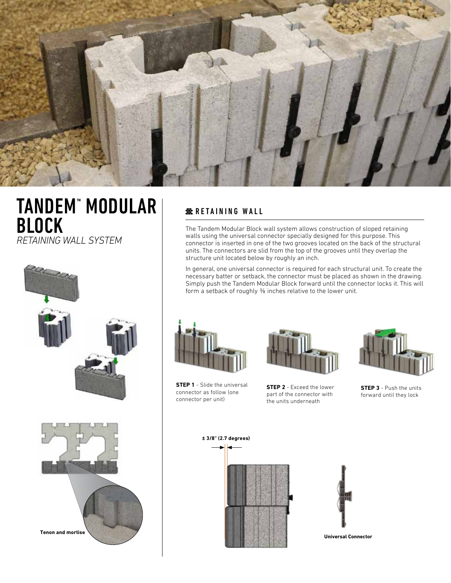

### TANDEM™ MODULAR BLOCK *RETAINING WALL SYSTEM* dessin 1

 $\overline{a}$ **Tenon and mortise** Avec place E Avec placage F Avec place F Avec place F Avec place F Avec place F Avec place F Avec place F Avec Dessination 5: figures. wall-3 regles de base 2.png wall-3 regles de base 2.png wall-3 regles de base. wall-3 regles de base. Muret Tandem Next avec placages système Tandem (Lafitt, Melville, Lexa)

#### **RETAINING WALL**

The Tandem Modular Block wall system allows construction of sloped retaining walls using the universal connector specially designed for this purpose. This connector is inserted in one of the two grooves located on the back of the structural units. The connectors are slid from the top of the grooves until they overlap the structure unit located below by roughly an inch.

In general, one universal connector is required for each structural unit. To create the necessary batter or setback, the connector must be placed as shown in the drawing. Simply push the Tandem Modular Block forward until the connector locks it. This will form a setback of roughly % inches relative to the lower unit.





**STEP 1** - Slide the universal connector as follow (one connector per unit)

**STEP 2** - Exceed the lower part of the connector with the units underneath



**STEP 3** - Push the units forward until they lock





**Universal Connector**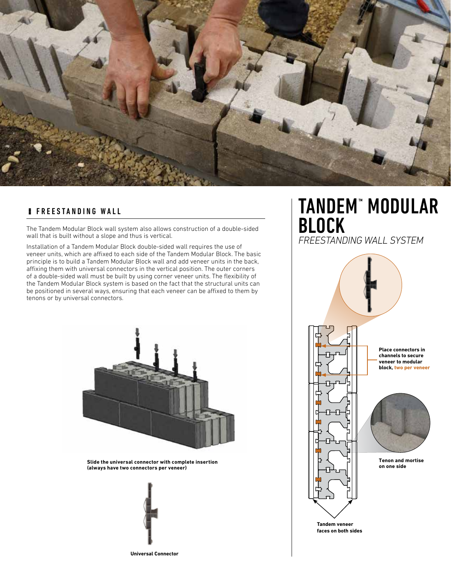

#### **FREESTANDING WALL**

The Tandem Modular Block wall system also allows construction of a double-sided wall that is built without a slope and thus is vertical.

Installation of a Tandem Modular Block double-sided wall requires the use of veneer units, which are affixed to each side of the Tandem Modular Block. The basic principle is to build a Tandem Modular Block wall and add veneer units in the back, affixing them with universal connectors in the vertical position. The outer corners of a double-sided wall must be built by using corner veneer units. The flexibility of the Tandem Modular Block system is based on the fact that the structural units can be positioned in several ways, ensuring that each veneer can be affixed to them by tenons or by universal connectors.



**Slide the universal connector with complete insertion (always have two connectors per veneer)**



**Universal Connector**

### TANDEM™ MODULAR BLOCK

*FREESTANDING WALL SYSTEM*